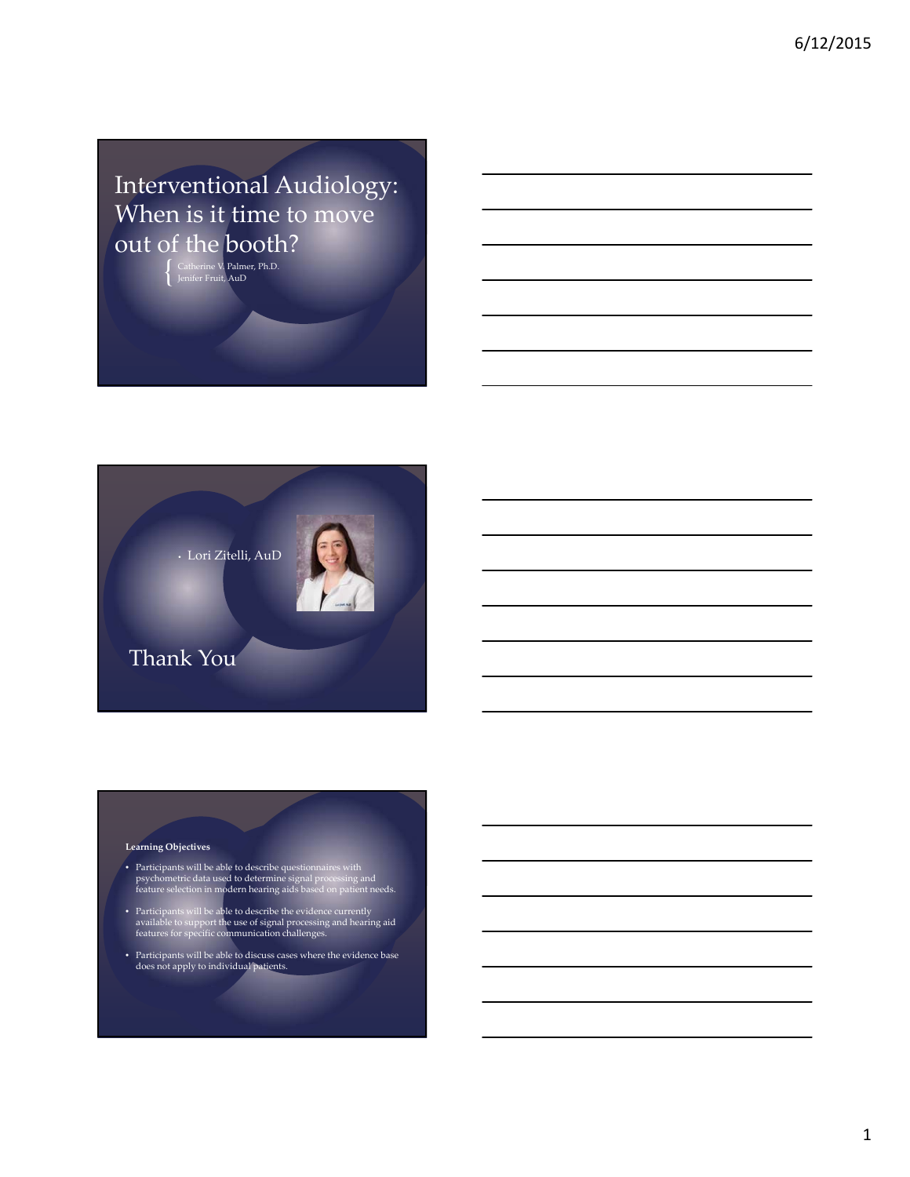Interventional Audiology: When is it time to move out of the booth?

{ Catherine V. Palmer, Ph.D. Jenifer Fruit, AuD



#### **Learning Objectives**

- Participants will be able to describe questionnaires with psychometric data used to determine signal processing and feature selection in modern hearing aids based on patient needs.
- Participants will be able to describe the evidence currently available to support the use of signal processing and hearing aid features for specific communication challenges.
- Participants will be able to discuss cases where the evidence base does not apply to individual patients.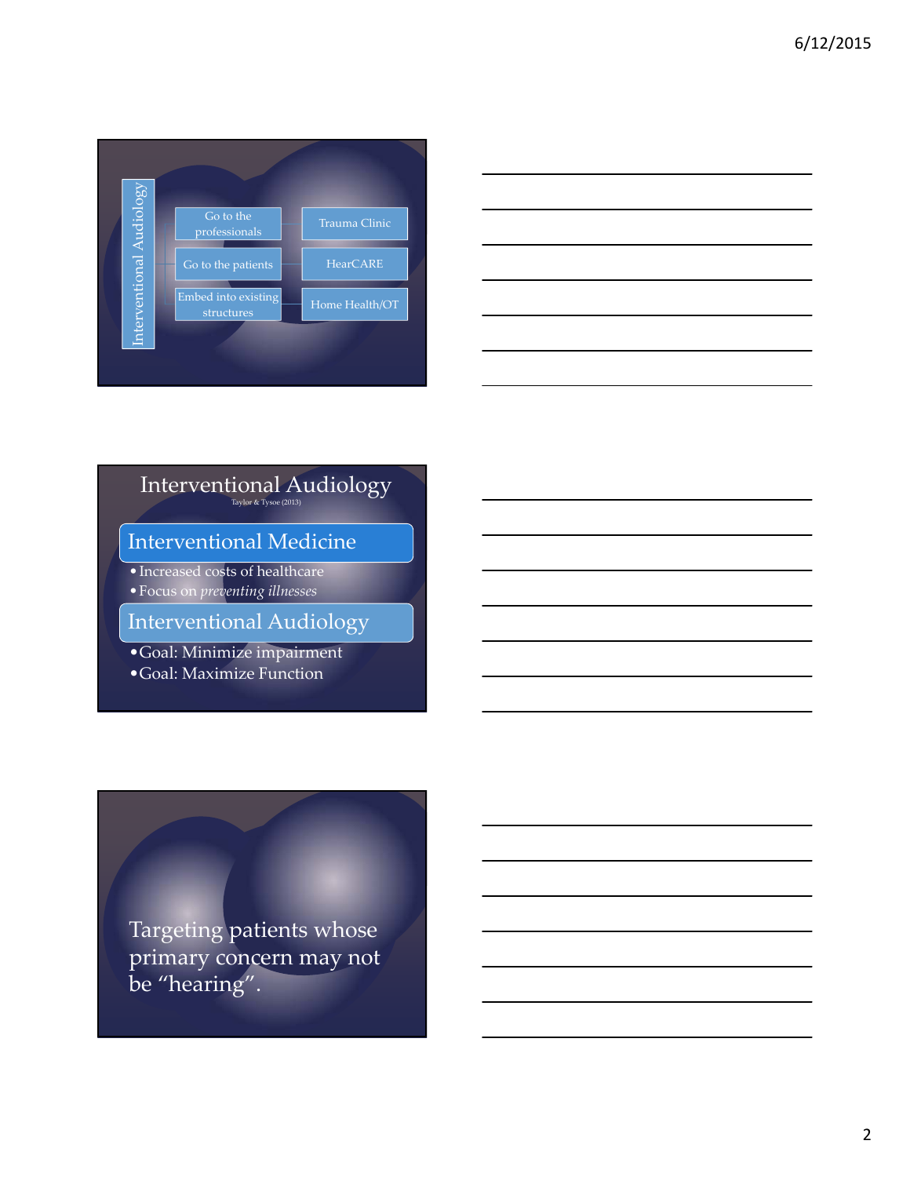

| <u>expertise</u> |  |  |
|------------------|--|--|
|                  |  |  |
|                  |  |  |
|                  |  |  |

# Interventional Audiology Taylor & Tysoe (2013)

Interventional Medicine

• Increased costs of healthcare

•Focus on *preventing illnesses*

Interventional Audiology

•Goal: Minimize impairment

•Goal: Maximize Function

Targeting patients whose primary concern may not be "hearing".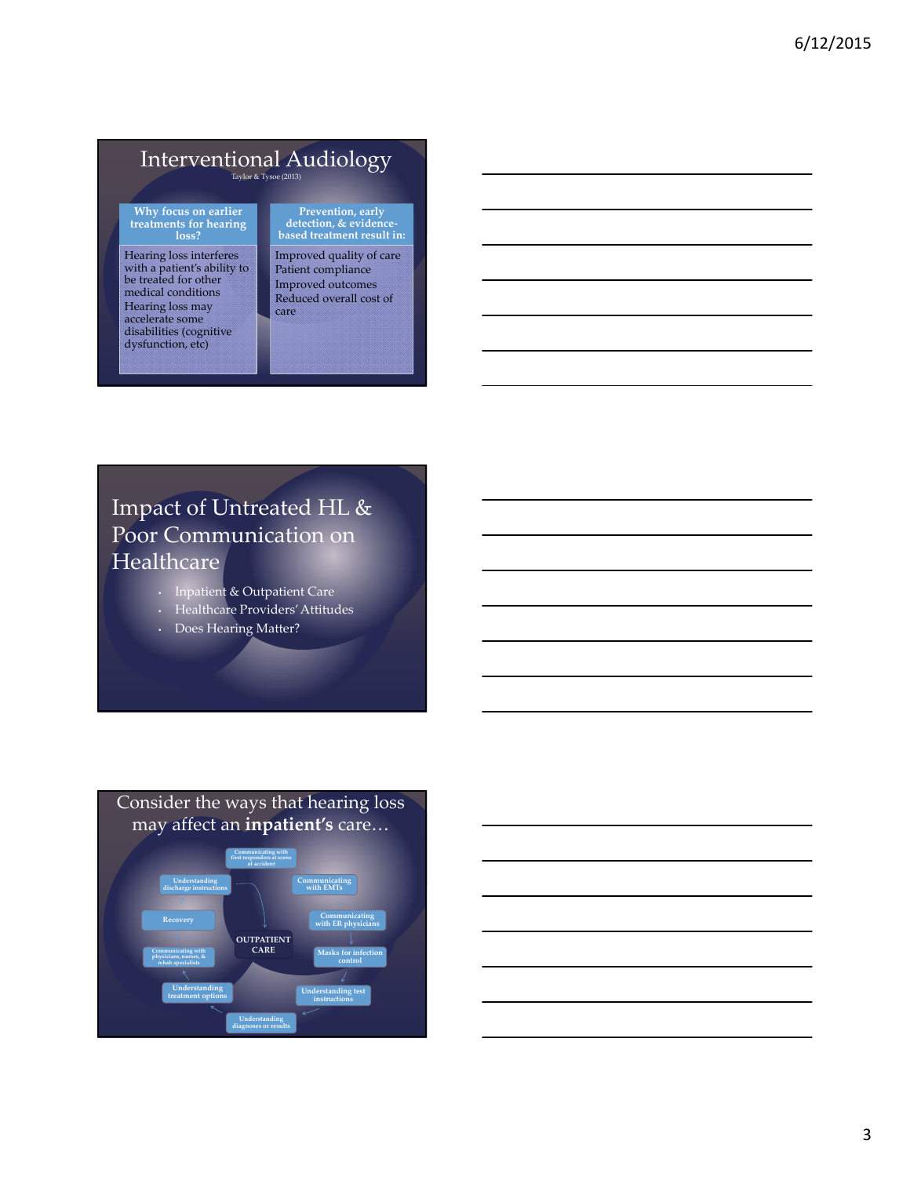# Interventional Audiology Taylor & Tysoe (2013)

**Why focus on earlier treatments for hearing loss?**

Hearing loss interferes with a patient's ability to be treated for other medical conditions Hearing loss may accelerate some disabilities (cognitive dysfunction, etc)

**Prevention, early detection, & evidence‐ based treatment result in:**

Improved quality of care Patient compliance Improved outcomes Reduced overall cost of care

## Impact of Untreated HL & Poor Communication on **Healthcare**

- Inpatient & Outpatient Care
- Healthcare Providers'Attitudes
- Does Hearing Matter?



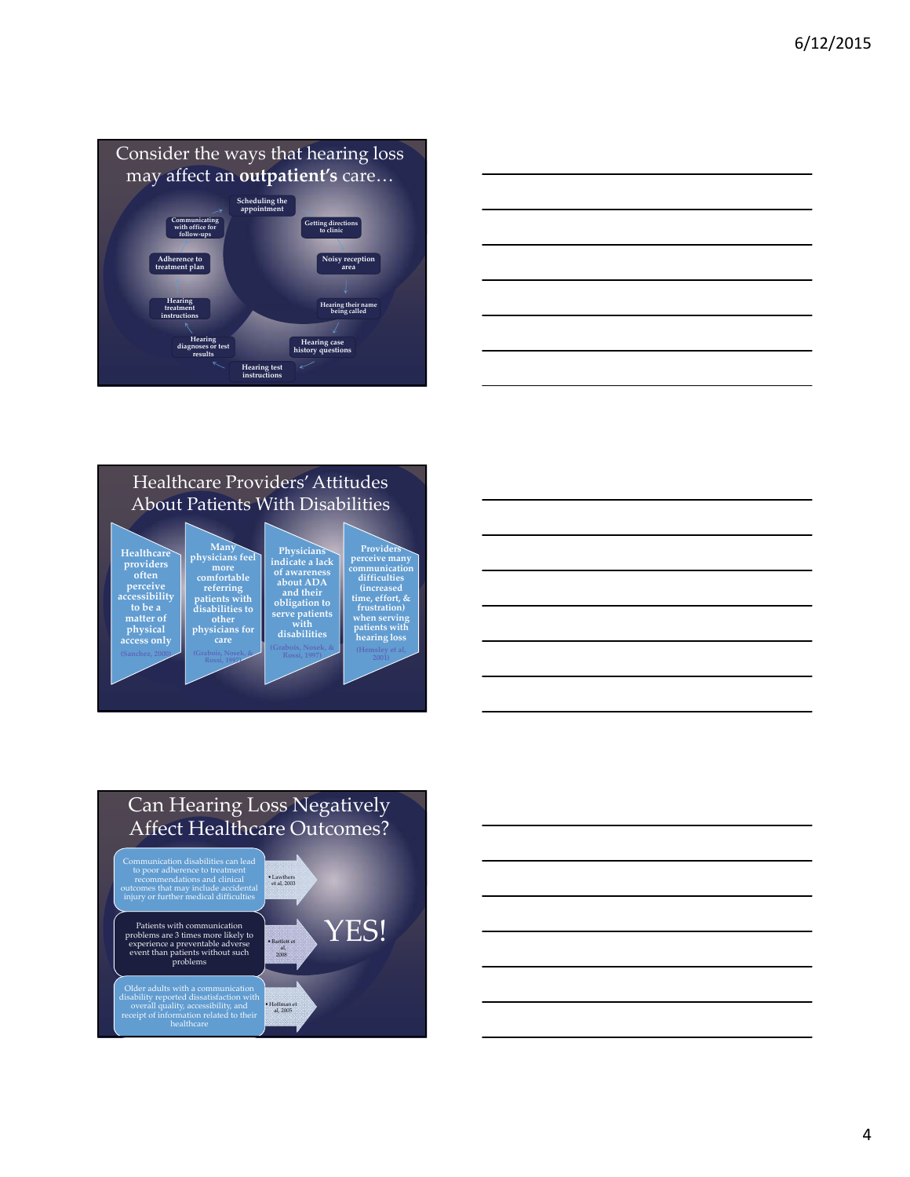

| ___ |
|-----|
|     |
|     |
|     |
|     |
|     |
|     |
|     |
|     |
|     |
|     |
|     |
|     |

### Healthcare Providers'Attitudes About Patients With Disabilities





## Can Hearing Loss Negatively Affect Healthcare Outcomes?



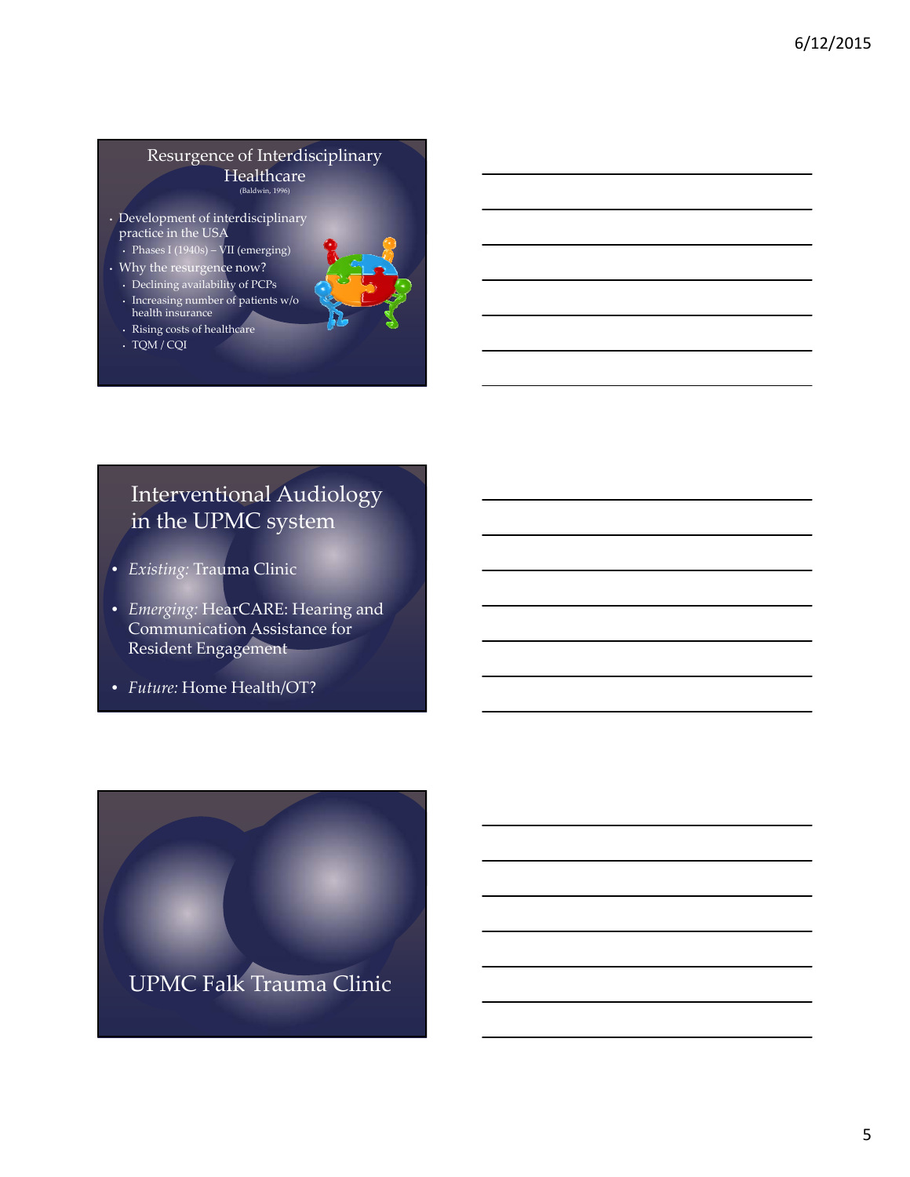#### Resurgence of Interdisciplinary **Healthcare** (Baldwin, 1996)

- Development of interdisciplinary practice in the USA
- Phases I (1940s) VII (emerging)
- Why the resurgence now?
- Declining availability of PCPs
- Increasing number of patients w/o health insurance
- Rising costs of healthcare
- TQM / CQI



## Interventional Audiology in the UPMC system

- *Existing:* Trauma Clinic
- *Emerging:* HearCARE: Hearing and Communication Assistance for Resident Engagement
- *Future:* Home Health/OT?

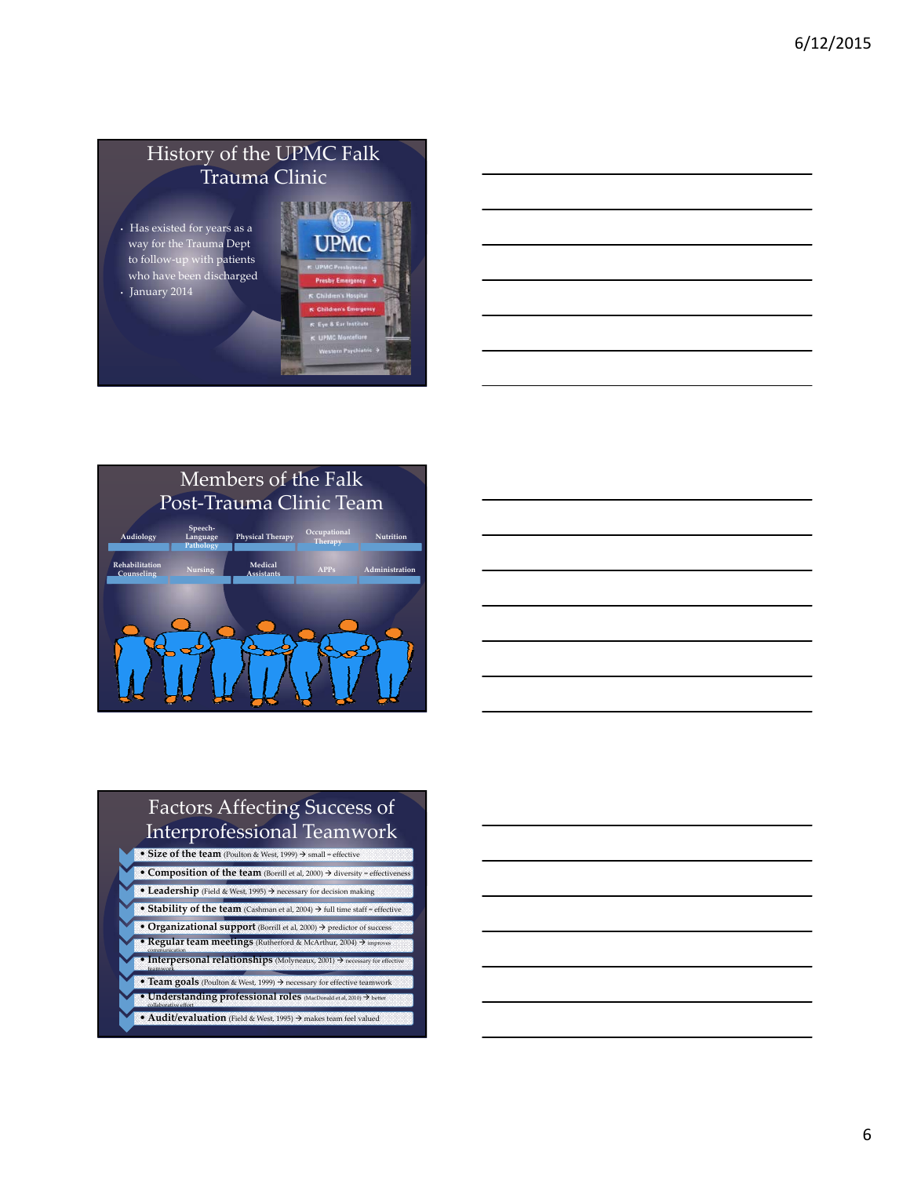## History of the UPMC Falk Trauma Clinic

• Has existed for years as a way for the Trauma Dept to follow‐up with patients who have been discharged • January 2014





## Factors Affecting Success of Interprofessional Teamwork • **Size of the team** (Poulton & West, 1999) small = effective

- **Composition of the team** (Borrill et al, 2000)  $\rightarrow$  diversity = effectiven **• Leadership** (Field & West, 1995)  $\rightarrow$  necessary for decision making • **Stability of the team** (Cashman et al, 2004) full time staff = effective • **Organizational support** (Borrill et al, 2000) predictor of success **• Regular team meetings** (Rutherford & McArthur, 2004)  $\rightarrow$  impr **• Interpersonal relationships** (Molyneaux, 2001)  $\rightarrow$  necessary for effective **• Team goals** (Poulton & West, 1999)  $\rightarrow$  necessary for effective teamwork • **Understanding professional roles** (MacDonald et al, 2010) better collaborative effort
- **Audit/evaluation** (Field & West, 1995) makes team feel valued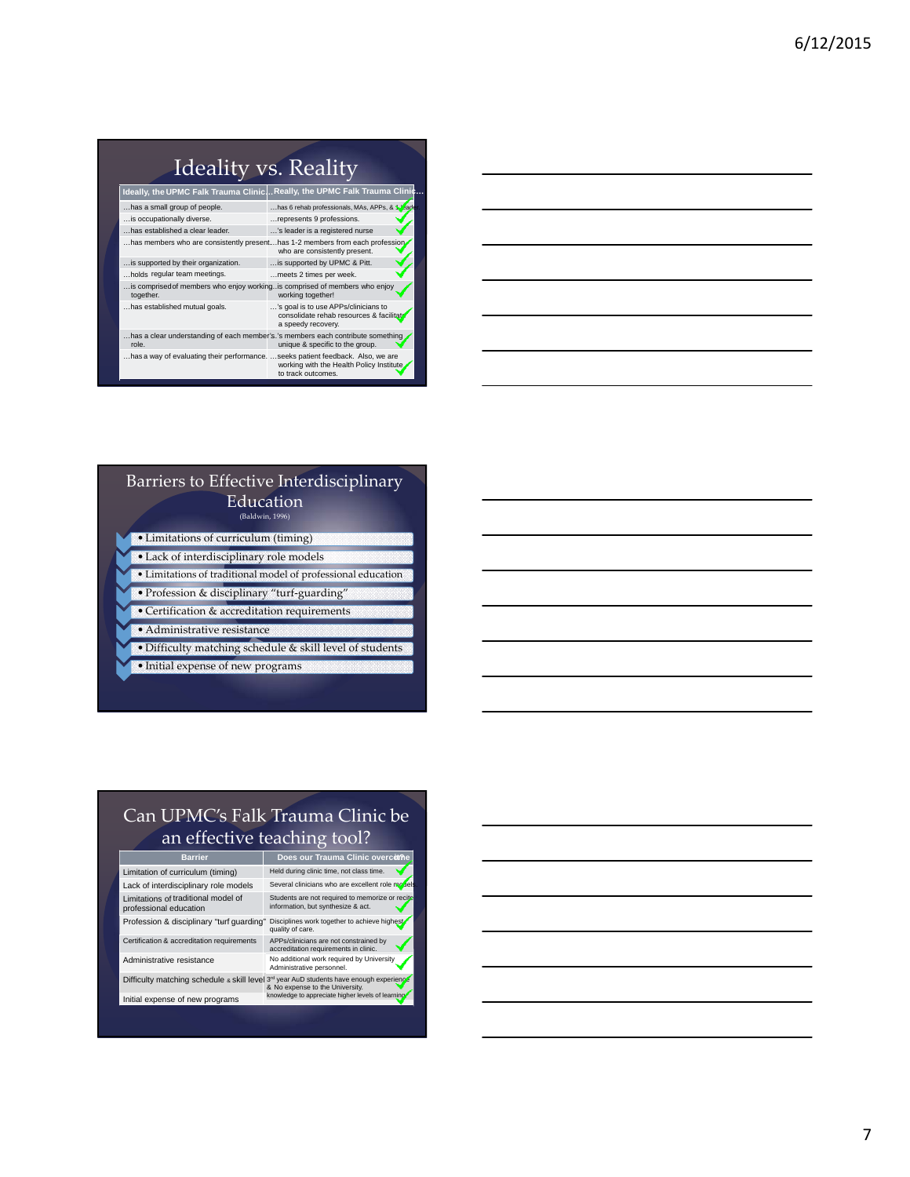| Ideality vs. Reality |                                                                         |
|----------------------|-------------------------------------------------------------------------|
|                      | Ideally, the UPMC Falk Trauma ClinicReally, the UPMC Falk Trauma Clinic |

| has a small group of people.                                                             | has 6 rehab professionals, MAs, APPs, & Vead                                                          |
|------------------------------------------------------------------------------------------|-------------------------------------------------------------------------------------------------------|
| is occupationally diverse.                                                               | represents 9 professions.                                                                             |
| has established a clear leader.                                                          | 's leader is a registered nurse                                                                       |
| has members who are consistently presenthas 1-2 members from each profession             | who are consistently present.                                                                         |
| is supported by their organization.                                                      | is supported by UPMC & Pitt.                                                                          |
| holds regular team meetings.                                                             | meets 2 times per week.                                                                               |
| is comprised of members who enjoy working is comprised of members who enjoy<br>together. | working together!                                                                                     |
| has established mutual goals.                                                            | 's goal is to use APPs/clinicians to<br>consolidate rehab resources & facilitat<br>a speedy recovery. |
| has a clear understanding of each member's.'s members each contribute something<br>role. | unique & specific to the group.                                                                       |
| has a way of evaluating their performance. seeks patient feedback. Also, we are          | working with the Health Policy Institute.<br>to track outcomes.                                       |

| <u> 1989 - Johann Stoff, deutscher Stoff, der Stoff, der Stoff, der Stoff, der Stoff, der Stoff, der Stoff, der S</u> |  |  |
|-----------------------------------------------------------------------------------------------------------------------|--|--|
|                                                                                                                       |  |  |
|                                                                                                                       |  |  |
| <u> 1989 - Johann Barn, mars ann an t-Amhainn an t-Amhainn an t-Amhainn an t-Amhainn an t-Amhainn an t-Amhainn an</u> |  |  |
| <u> 1989 - Johann Barn, amerikan bernama di sebagai bernama dan bernama di sebagai bernama di sebagai bernama di</u>  |  |  |
|                                                                                                                       |  |  |

### Barriers to Effective Interdisciplinary **Education**

(Baldwin, 1996)

- Limitations of curriculum (timing)
- Lack of interdisciplinary role models • Limitations of traditional model of professional education
- Profession & disciplinary "turf‐guarding"
- Certification & accreditation requirements
- Administrative resistance
- Difficulty matching schedule & skill level of students
- Initial expense of new programs

## Can UPMC's Falk Trauma Clinic be an effective teaching tool?

Lack of interdisciplinary role models Several clinicians who are excellent role mode Limitations of traditional model of professional education

Profession & disciplinary "turf guarding" Disciplines work together to achieve highest

Limitation of curriculum (timing) Held during clinic time, not class time. Students are not required to memorize or recite information, but synthesize & act.

**Barrier Does our Trauma Clinic overcome** 

Certification & accreditation requirements APPs/clinicians are not constrained by accreditation requirements in clinic. Administrative resistance No additional work required by University<br>Administrative personnel.

Difficulty matching schedule ه skill level ه wear AuD students have enough experience<br>A No expense to the University.<br>Initial expense of new programs knowledge to appreciate higher levels of learning.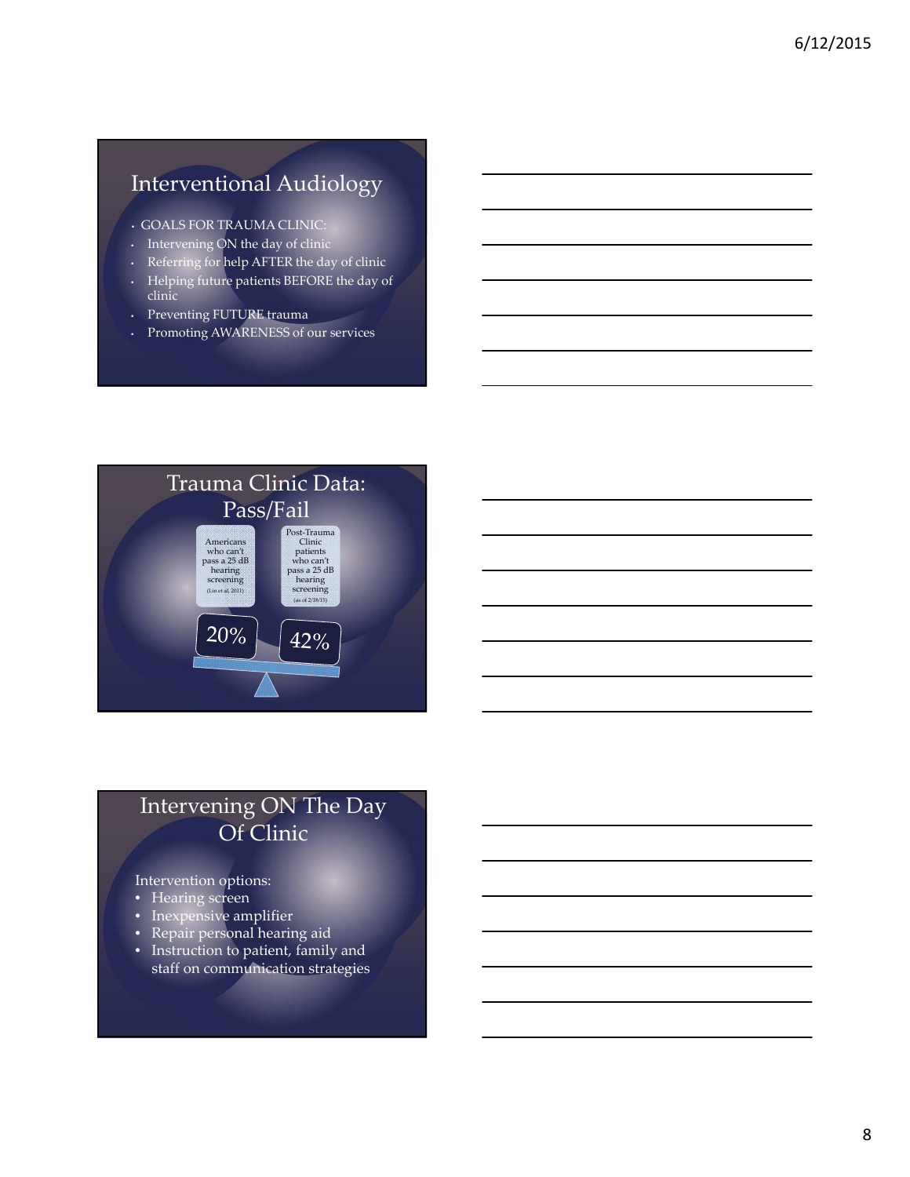## Interventional Audiology

- GOALS FOR TRAUMA CLINIC:
- Intervening ON the day of clinic
- Referring for help AFTER the day of clinic
- Helping future patients BEFORE the day of
- clinic
- Preventing FUTURE trauma
- Promoting AWARENESS of our services



## Intervening ON The Day Of Clinic

#### Intervention options:

- Hearing screen
- Inexpensive amplifier
- Repair personal hearing aid
- Instruction to patient, family and staff on communication strategies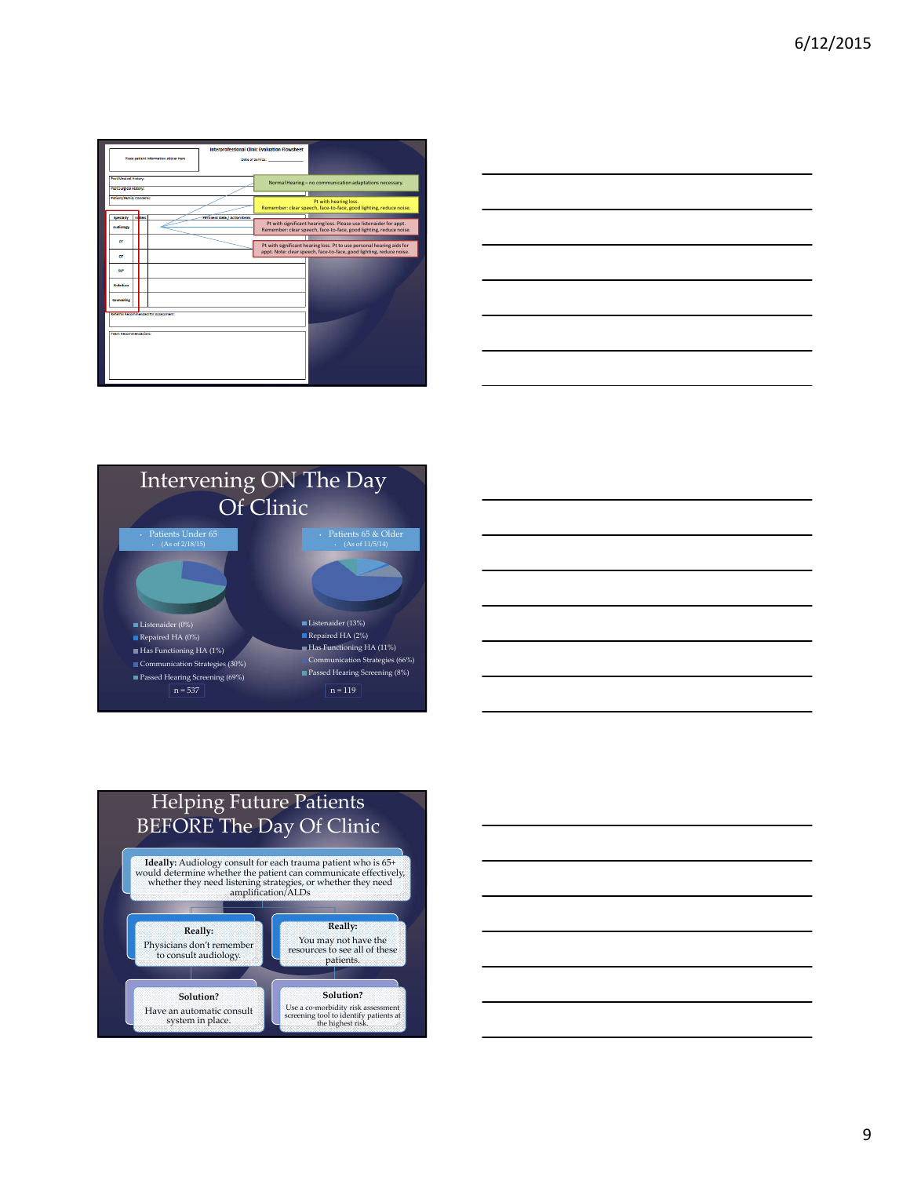

|  | <u> 1989 - Andrea Andrea Andrea Andrea Andrea Andrea Andrea Andrea Andrea Andrea Andrea Andrea Andrea Andrea Andr</u> |
|--|-----------------------------------------------------------------------------------------------------------------------|
|  |                                                                                                                       |
|  |                                                                                                                       |
|  |                                                                                                                       |
|  |                                                                                                                       |
|  |                                                                                                                       |
|  |                                                                                                                       |
|  |                                                                                                                       |
|  |                                                                                                                       |
|  |                                                                                                                       |
|  |                                                                                                                       |
|  |                                                                                                                       |
|  |                                                                                                                       |
|  |                                                                                                                       |
|  |                                                                                                                       |
|  |                                                                                                                       |
|  |                                                                                                                       |
|  |                                                                                                                       |







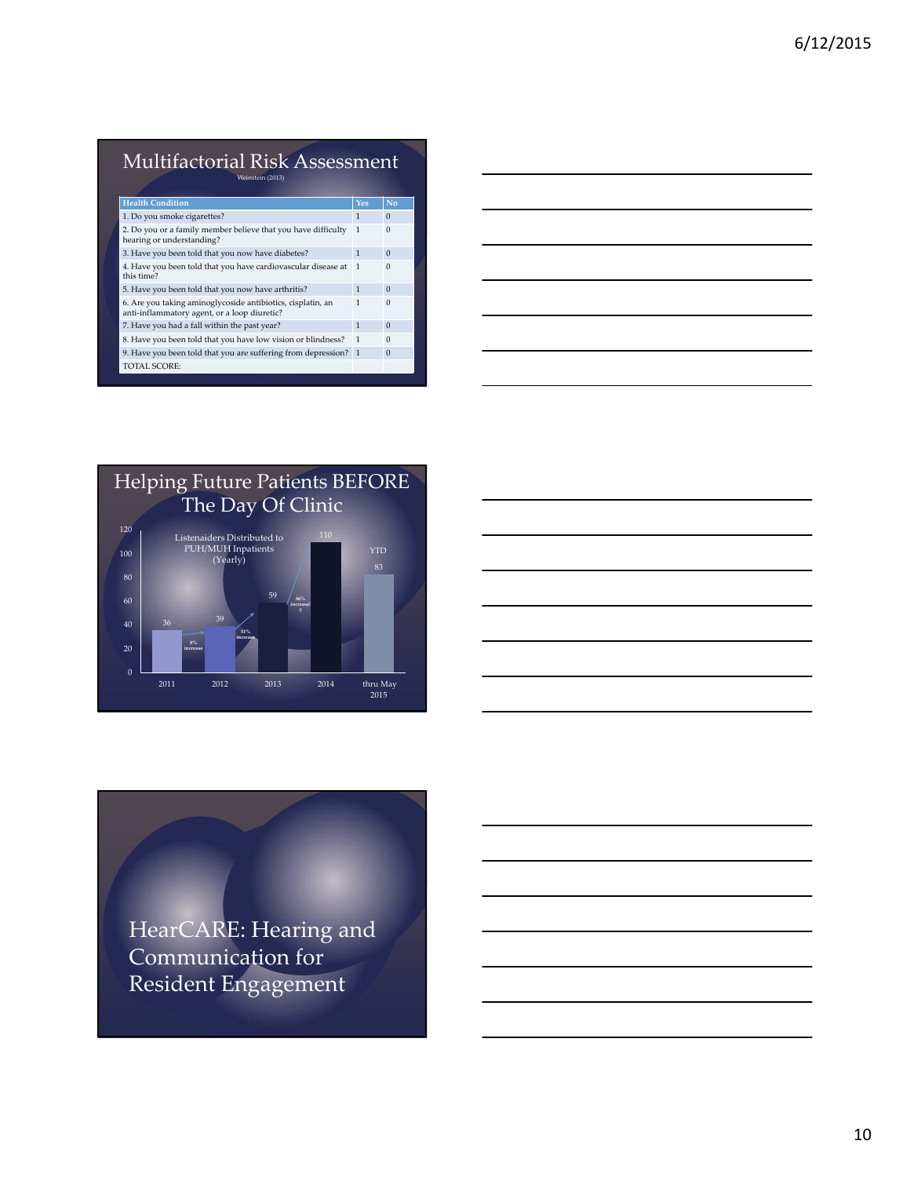#### Multifactorial Risk Assessment Weinstein (2013)

| <b>Health Condition</b>                                                                                     | Yes          | No       |
|-------------------------------------------------------------------------------------------------------------|--------------|----------|
| 1. Do you smoke cigarettes?                                                                                 | 1            | $\Omega$ |
| 2. Do you or a family member believe that you have difficulty<br>hearing or understanding?                  | 1            | $\Omega$ |
| 3. Have you been told that you now have diabetes?                                                           | $\mathbf{1}$ | $\Omega$ |
| 4. Have you been told that you have cardiovascular disease at<br>this time?                                 | $\mathbf{1}$ | $\Omega$ |
| 5. Have you been told that you now have arthritis?                                                          | 1            | $\Omega$ |
| 6. Are you taking aminoglycoside antibiotics, cisplatin, an<br>anti-inflammatory agent, or a loop diuretic? | 1            | $\Omega$ |
| 7. Have you had a fall within the past year?                                                                | $\mathbf{1}$ | $\Omega$ |
| 8. Have you been told that you have low vision or blindness?                                                | 1            | $\Omega$ |
| 9. Have you been told that you are suffering from depression? 1                                             |              | $\Omega$ |
| TOTAL SCORE:                                                                                                |              |          |
|                                                                                                             |              |          |





HearCARE: Hearing and Communication for Resident Engagement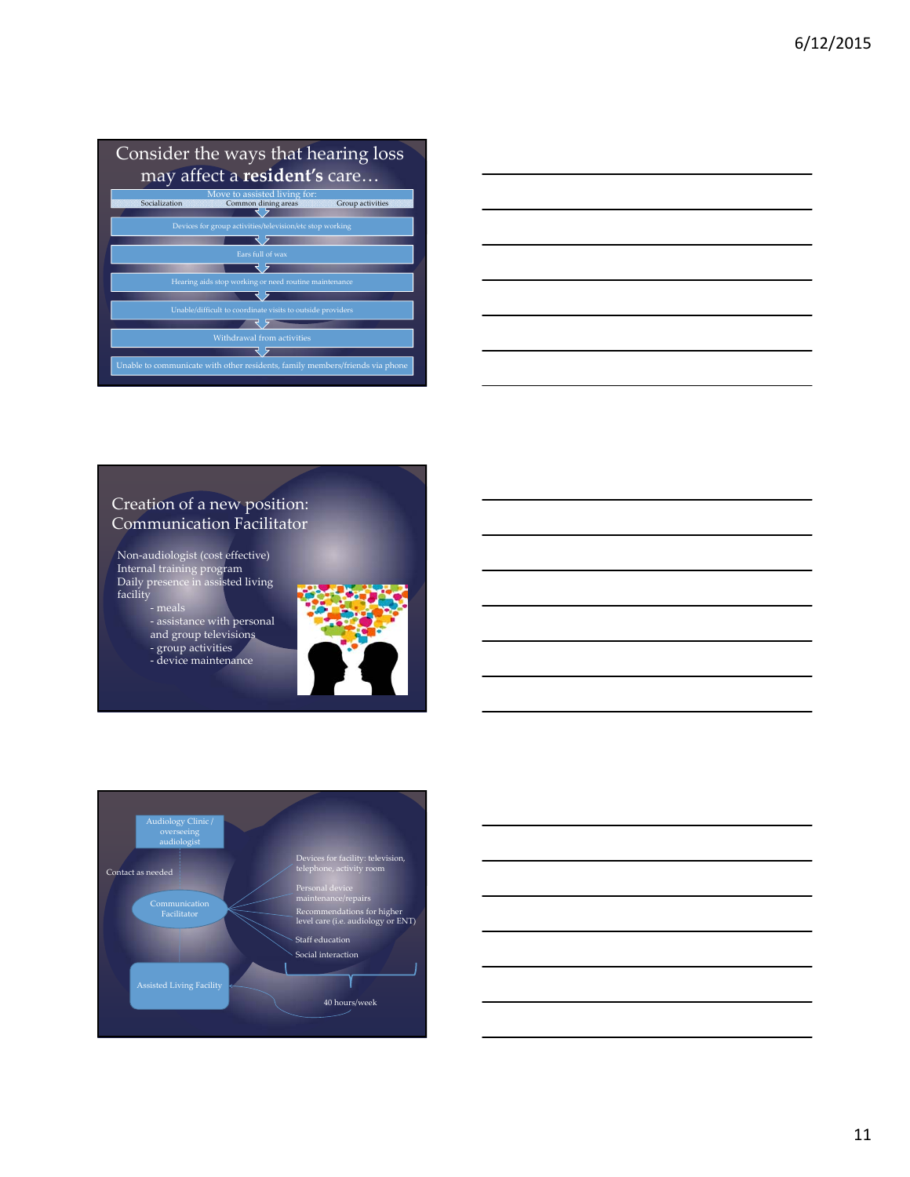## Consider the ways that hearing loss may affect a **resident's** care…



### Creation of a new position: Communication Facilitator

Non‐audiologist (cost effective) Internal training program Daily presence in assisted living facility

‐ meals ‐ assistance with personal

and group televisions ‐ group activities

‐ device maintenance